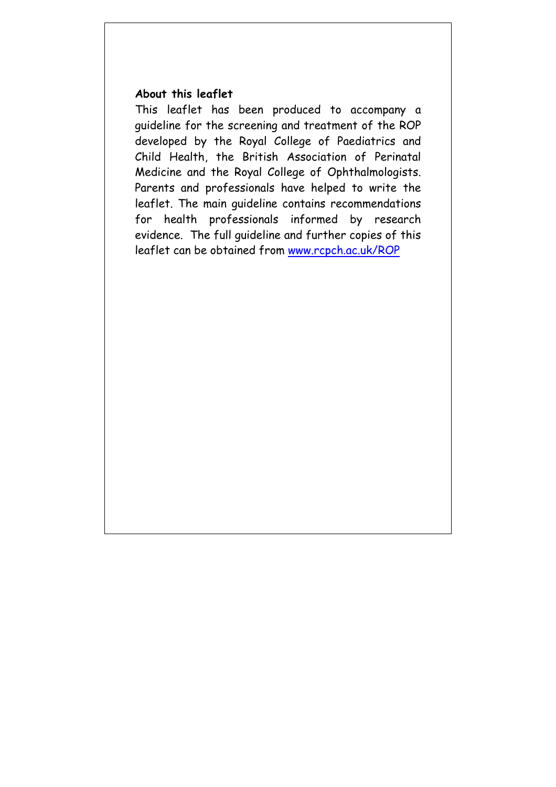#### **About this leaflet**

This leaflet has been produced to accompany a guideline for the screening and treatment of the ROP developed by the Royal College of Paediatrics and Child Health, the British Association of Perinatal Medicine and the Royal College of Ophthalmologists. Parents and professionals have helped to write the leaflet. The main guideline contains recommendations for health professionals informed by research evidence. The full guideline and further copies of this leaflet can be obtained from www.rcpch.ac.uk/ROP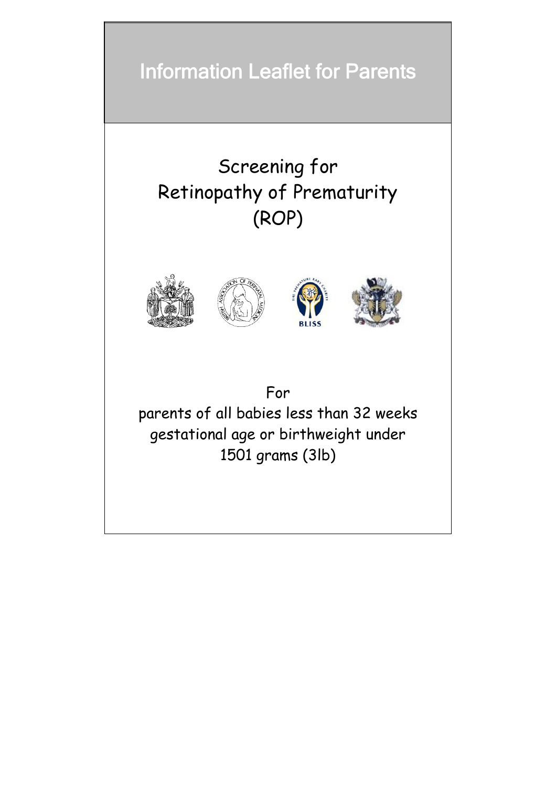# Information Leaflet for Parents

# Screening for Retinopathy of Prematurity (ROP)



# For

parents of all babies less than 32 weeks gestational age or birthweight under 1501 grams (3lb)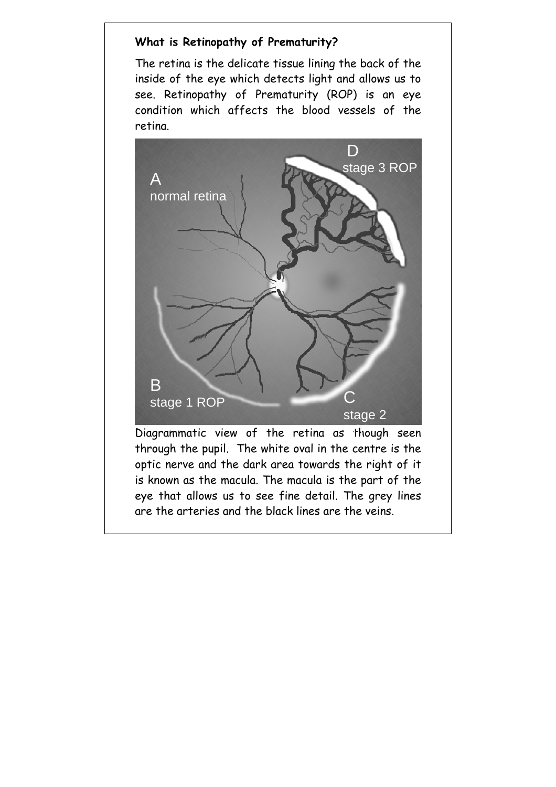# **What is Retinopathy of Prematurity?**

The retina is the delicate tissue lining the back of the inside of the eye which detects light and allows us to see. Retinopathy of Prematurity (ROP) is an eye condition which affects the blood vessels of the retina.



Diagrammatic view of the retina as though seen through the pupil. The white oval in the centre is the optic nerve and the dark area towards the right of it is known as the macula. The macula is the part of the eye that allows us to see fine detail. The grey lines are the arteries and the black lines are the veins.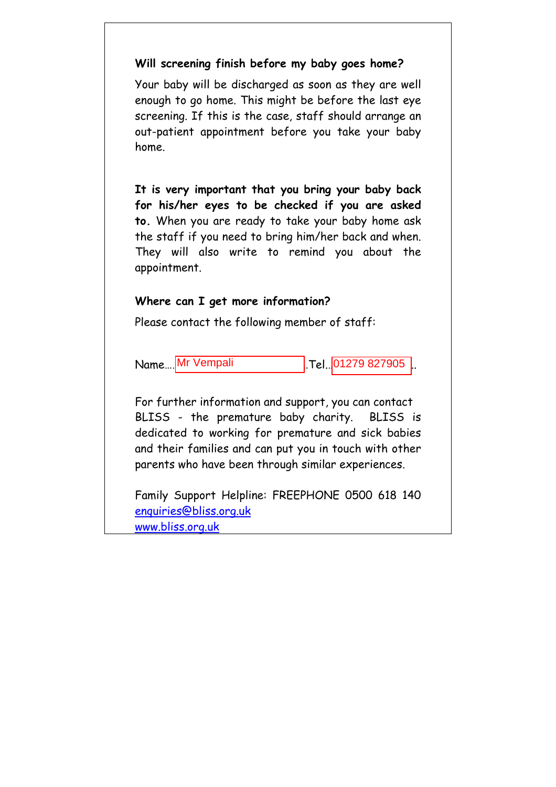#### **Will screening finish before my baby goes home?**

Your baby will be discharged as soon as they are well enough to go home. This might be before the last eye screening. If this is the case, staff should arrange an out-patient appointment before you take your baby home.

**It is very important that you bring your baby back for his/her eyes to be checked if you are asked to.** When you are ready to take your baby home ask the staff if you need to bring him/her back and when. They will also write to remind you about the appointment.

#### **Where can I get more information?**

Please contact the following member of staff:

Name.... Mr Vempali

 $R$  Tel. 01279 827905

For further information and support, you can contact BLISS - the premature baby charity. BLISS is dedicated to working for premature and sick babies and their families and can put you in touch with other parents who have been through similar experiences.

Family Support Helpline: FREEPHONE 0500 618 140 enquiries@bliss.org.uk www.bliss.org.uk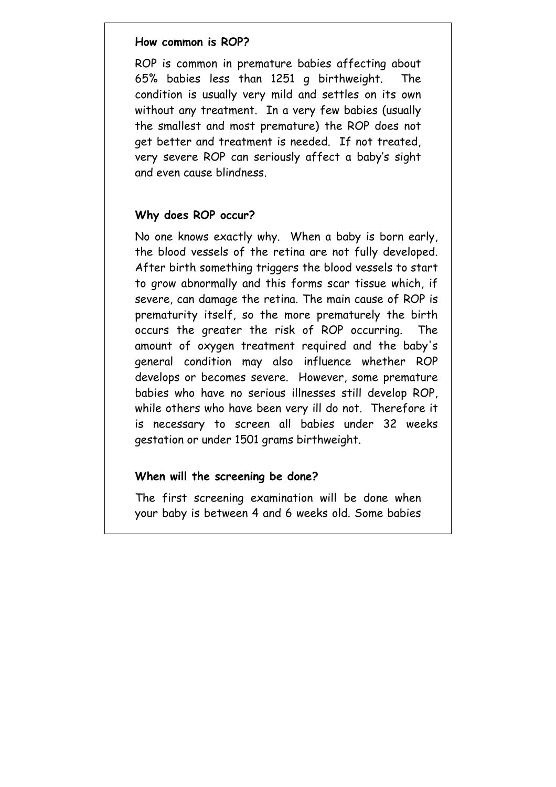#### **How common is ROP?**

ROP is common in premature babies affecting about 65% babies less than 1251 g birthweight. The condition is usually very mild and settles on its own without any treatment. In a very few babies (usually the smallest and most premature) the ROP does not get better and treatment is needed. If not treated, very severe ROP can seriously affect a baby's sight and even cause blindness.

#### **Why does ROP occur?**

No one knows exactly why. When a baby is born early, the blood vessels of the retina are not fully developed. After birth something triggers the blood vessels to start to grow abnormally and this forms scar tissue which, if severe, can damage the retina. The main cause of ROP is prematurity itself, so the more prematurely the birth occurs the greater the risk of ROP occurring. The amount of oxygen treatment required and the baby's general condition may also influence whether ROP develops or becomes severe. However, some premature babies who have no serious illnesses still develop ROP, while others who have been very ill do not. Therefore it is necessary to screen all babies under 32 weeks gestation or under 1501 grams birthweight.

#### **When will the screening be done?**

The first screening examination will be done when your baby is between 4 and 6 weeks old. Some babies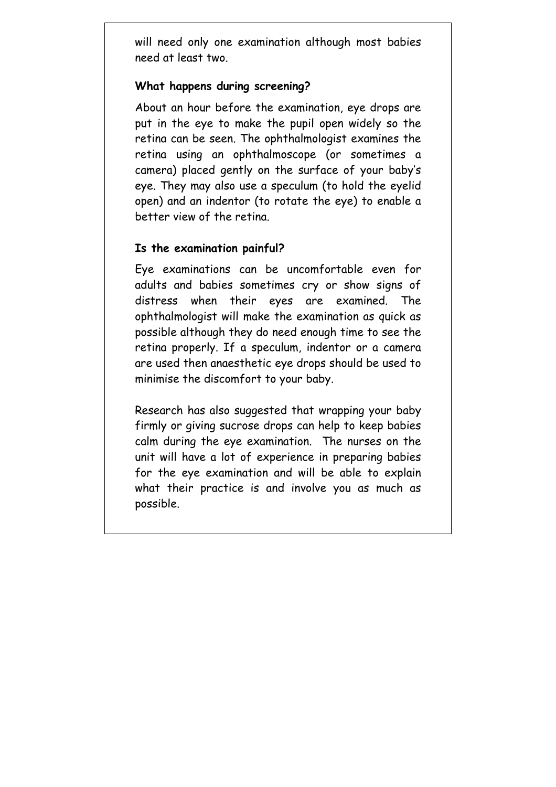will need only one examination although most babies need at least two.

## **What happens during screening?**

About an hour before the examination, eye drops are put in the eye to make the pupil open widely so the retina can be seen. The ophthalmologist examines the retina using an ophthalmoscope (or sometimes a camera) placed gently on the surface of your baby's eye. They may also use a speculum (to hold the eyelid open) and an indentor (to rotate the eye) to enable a better view of the retina.

## **Is the examination painful?**

Eye examinations can be uncomfortable even for adults and babies sometimes cry or show signs of distress when their eyes are examined. The ophthalmologist will make the examination as quick as possible although they do need enough time to see the retina properly. If a speculum, indentor or a camera are used then anaesthetic eye drops should be used to minimise the discomfort to your baby.

Research has also suggested that wrapping your baby firmly or giving sucrose drops can help to keep babies calm during the eye examination. The nurses on the unit will have a lot of experience in preparing babies for the eye examination and will be able to explain what their practice is and involve you as much as possible.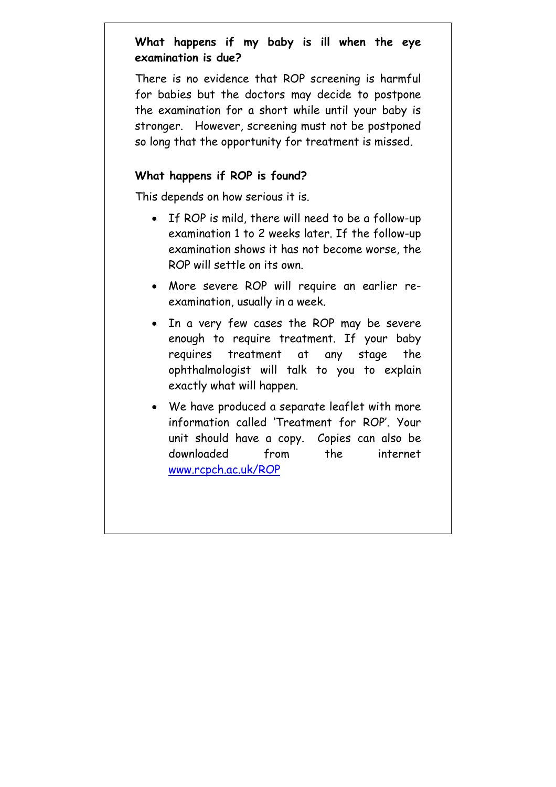# **What happens if my baby is ill when the eye examination is due?**

There is no evidence that ROP screening is harmful for babies but the doctors may decide to postpone the examination for a short while until your baby is stronger. However, screening must not be postponed so long that the opportunity for treatment is missed.

## **What happens if ROP is found?**

This depends on how serious it is.

- If ROP is mild, there will need to be a follow-up examination 1 to 2 weeks later. If the follow-up examination shows it has not become worse, the ROP will settle on its own.
- More severe ROP will require an earlier reexamination, usually in a week.
- In a very few cases the ROP may be severe enough to require treatment. If your baby requires treatment at any stage the ophthalmologist will talk to you to explain exactly what will happen.
- We have produced a separate leaflet with more information called 'Treatment for ROP'. Your unit should have a copy. Copies can also be downloaded from the internet www.rcpch.ac.uk/ROP